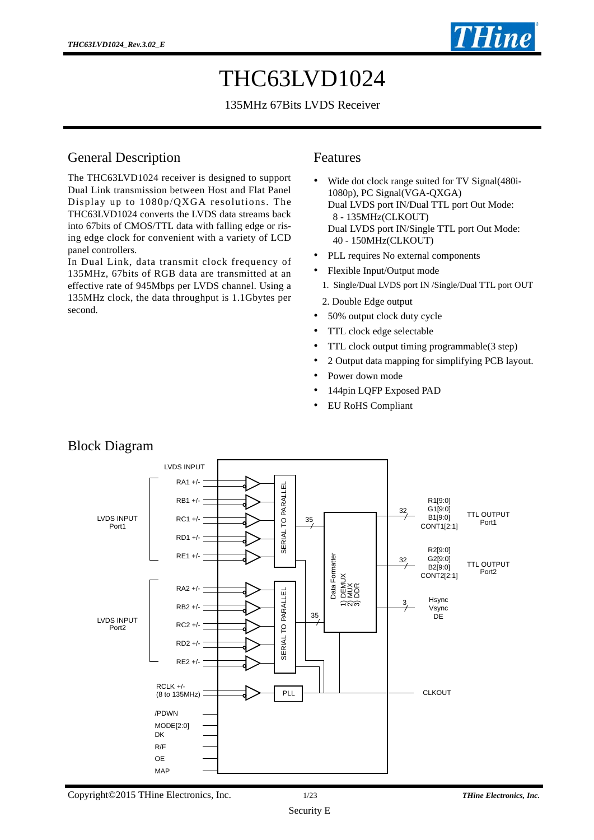

# THC63LVD1024

#### 135MHz 67Bits LVDS Receiver

#### General Description

The THC63LVD1024 receiver is designed to support Dual Link transmission between Host and Flat Panel Display up to 1080p/QXGA resolutions. The THC63LVD1024 converts the LVDS data streams back into 67bits of CMOS/TTL data with falling edge or rising edge clock for convenient with a variety of LCD panel controllers.

In Dual Link, data transmit clock frequency of 135MHz, 67bits of RGB data are transmitted at an effective rate of 945Mbps per LVDS channel. Using a 135MHz clock, the data throughput is 1.1Gbytes per second.

#### Features

- Wide dot clock range suited for TV Signal(480i-1080p), PC Signal(VGA-QXGA) Dual LVDS port IN/Dual TTL port Out Mode: 8 - 135MHz(CLKOUT) Dual LVDS port IN/Single TTL port Out Mode: 40 - 150MHz(CLKOUT)
- PLL requires No external components
- Flexible Input/Output mode
- 1. Single/Dual LVDS port IN /Single/Dual TTL port OUT
- 2. Double Edge output
- 50% output clock duty cycle
- TTL clock edge selectable
- TTL clock output timing programmable(3 step)
- 2 Output data mapping for simplifying PCB layout.
- Power down mode
- 144pin LQFP Exposed PAD
- EU RoHS Compliant



### Block Diagram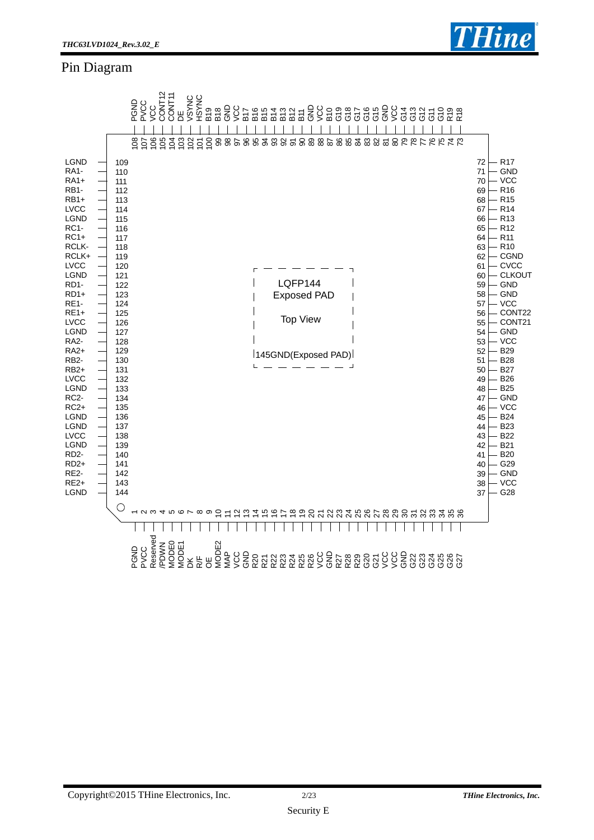### Pin Diagram



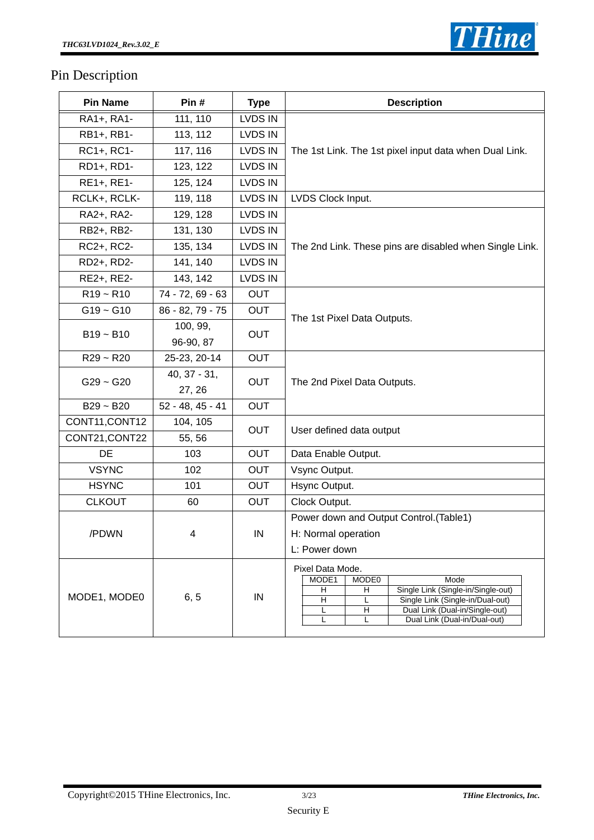

## Pin Description

| <b>Pin Name</b> | Pin#                     | <b>Type</b>    | <b>Description</b>                                                                                                                                                                                                                         |
|-----------------|--------------------------|----------------|--------------------------------------------------------------------------------------------------------------------------------------------------------------------------------------------------------------------------------------------|
| RA1+, RA1-      | 111, 110                 | LVDS IN        |                                                                                                                                                                                                                                            |
| RB1+, RB1-      | 113, 112                 | <b>LVDS IN</b> |                                                                                                                                                                                                                                            |
| RC1+, RC1-      | 117, 116                 | <b>LVDS IN</b> | The 1st Link. The 1st pixel input data when Dual Link.                                                                                                                                                                                     |
| RD1+, RD1-      | 123, 122                 | LVDS IN        |                                                                                                                                                                                                                                            |
| RE1+, RE1-      | 125, 124                 | LVDS IN        |                                                                                                                                                                                                                                            |
| RCLK+, RCLK-    | 119, 118                 | <b>LVDS IN</b> | LVDS Clock Input.                                                                                                                                                                                                                          |
| RA2+, RA2-      | 129, 128                 | <b>LVDS IN</b> |                                                                                                                                                                                                                                            |
| RB2+, RB2-      | 131, 130                 | LVDS IN        |                                                                                                                                                                                                                                            |
| RC2+, RC2-      | 135, 134                 | <b>LVDS IN</b> | The 2nd Link. These pins are disabled when Single Link.                                                                                                                                                                                    |
| RD2+, RD2-      | 141, 140                 | <b>LVDS IN</b> |                                                                                                                                                                                                                                            |
| RE2+, RE2-      | 143, 142                 | <b>LVDS IN</b> |                                                                                                                                                                                                                                            |
| $R19 - R10$     | 74 - 72, 69 - 63         | <b>OUT</b>     |                                                                                                                                                                                                                                            |
| $G19 - G10$     | 86 - 82, 79 - 75         | <b>OUT</b>     |                                                                                                                                                                                                                                            |
| $B19 - B10$     | 100, 99,<br>96-90, 87    | <b>OUT</b>     | The 1st Pixel Data Outputs.                                                                                                                                                                                                                |
| $R29 - R20$     | 25-23, 20-14             | <b>OUT</b>     |                                                                                                                                                                                                                                            |
| $G29 - G20$     | $40, 37 - 31,$<br>27, 26 | <b>OUT</b>     | The 2nd Pixel Data Outputs.                                                                                                                                                                                                                |
| $B29 - B20$     | $52 - 48, 45 - 41$       | <b>OUT</b>     |                                                                                                                                                                                                                                            |
| CONT11, CONT12  | 104, 105                 | <b>OUT</b>     |                                                                                                                                                                                                                                            |
| CONT21, CONT22  | 55, 56                   |                | User defined data output                                                                                                                                                                                                                   |
| <b>DE</b>       | 103                      | <b>OUT</b>     | Data Enable Output.                                                                                                                                                                                                                        |
| <b>VSYNC</b>    | 102                      | <b>OUT</b>     | Vsync Output.                                                                                                                                                                                                                              |
| <b>HSYNC</b>    | 101                      | <b>OUT</b>     | Hsync Output.                                                                                                                                                                                                                              |
| <b>CLKOUT</b>   | 60                       | <b>OUT</b>     | Clock Output.                                                                                                                                                                                                                              |
| /PDWN           | 4                        | IN             | Power down and Output Control.(Table1)<br>H: Normal operation<br>L: Power down                                                                                                                                                             |
| MODE1, MODE0    | 6, 5                     | $\sf IN$       | Pixel Data Mode.<br>MODE1<br>MODE <sub>0</sub><br>Mode<br>Single Link (Single-in/Single-out)<br>н<br>н<br>Single Link (Single-in/Dual-out)<br>н<br>L<br>Ξ<br>Dual Link (Dual-in/Single-out)<br>L<br>Dual Link (Dual-in/Dual-out)<br>L<br>L |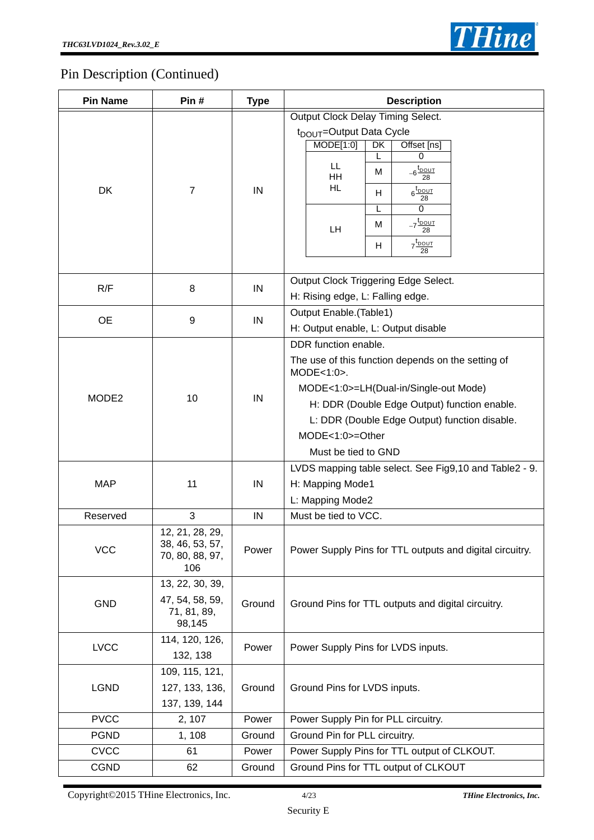

## Pin Description (Continued)

| Output Clock Delay Timing Select.<br>t <sub>DOUT</sub> =Output Data Cycle<br>MODE[1:0]<br>DK<br>Offset [ns]<br>L<br>0<br>LL.<br>$-6\frac{\text{t}_{\text{DOUT}}}{28}$<br>м<br><b>HH</b><br>HL.<br><b>DK</b><br>$\overline{7}$<br>IN<br>$6\frac{\text{t}_{\text{DOUT}}}{28}$<br>H<br>0<br>L<br>-7 <sup>t</sup> <u>DOUT</u><br>28<br>M<br>LH<br>$7\frac{t_{\text{DOUT}}}{28}$<br>H<br>Output Clock Triggering Edge Select.<br>R/F<br>8<br>IN<br>H: Rising edge, L: Falling edge.<br>Output Enable.(Table1) |  |
|----------------------------------------------------------------------------------------------------------------------------------------------------------------------------------------------------------------------------------------------------------------------------------------------------------------------------------------------------------------------------------------------------------------------------------------------------------------------------------------------------------|--|
|                                                                                                                                                                                                                                                                                                                                                                                                                                                                                                          |  |
|                                                                                                                                                                                                                                                                                                                                                                                                                                                                                                          |  |
| <b>OE</b><br>9<br>IN<br>H: Output enable, L: Output disable                                                                                                                                                                                                                                                                                                                                                                                                                                              |  |
| DDR function enable.<br>The use of this function depends on the setting of<br>$MODE < 1:0$ .<br>MODE<1:0>=LH(Dual-in/Single-out Mode)<br>10<br>MODE <sub>2</sub><br>IN<br>H: DDR (Double Edge Output) function enable.<br>L: DDR (Double Edge Output) function disable.<br>MODE<1:0>=Other<br>Must be tied to GND                                                                                                                                                                                        |  |
| LVDS mapping table select. See Fig9,10 and Table2 - 9.<br><b>MAP</b><br>11<br>IN<br>H: Mapping Mode1<br>L: Mapping Mode2                                                                                                                                                                                                                                                                                                                                                                                 |  |
| Reserved<br>3<br>IN<br>Must be tied to VCC.                                                                                                                                                                                                                                                                                                                                                                                                                                                              |  |
| 12, 21, 28, 29,<br>38, 46, 53, 57,<br><b>VCC</b><br>Power<br>Power Supply Pins for TTL outputs and digital circuitry.<br>70, 80, 88, 97,<br>106                                                                                                                                                                                                                                                                                                                                                          |  |
| 13, 22, 30, 39,<br>47, 54, 58, 59,<br><b>GND</b><br>Ground<br>Ground Pins for TTL outputs and digital circuitry.<br>71, 81, 89,<br>98,145                                                                                                                                                                                                                                                                                                                                                                |  |
| 114, 120, 126,<br><b>LVCC</b><br>Power Supply Pins for LVDS inputs.<br>Power<br>132, 138                                                                                                                                                                                                                                                                                                                                                                                                                 |  |
| 109, 115, 121,<br><b>LGND</b><br>127, 133, 136,<br>Ground<br>Ground Pins for LVDS inputs.<br>137, 139, 144                                                                                                                                                                                                                                                                                                                                                                                               |  |
| <b>PVCC</b><br>2, 107<br>Power<br>Power Supply Pin for PLL circuitry.                                                                                                                                                                                                                                                                                                                                                                                                                                    |  |
| <b>PGND</b><br>1, 108<br>Ground<br>Ground Pin for PLL circuitry.                                                                                                                                                                                                                                                                                                                                                                                                                                         |  |
| <b>CVCC</b><br>Power Supply Pins for TTL output of CLKOUT.<br>Power<br>61                                                                                                                                                                                                                                                                                                                                                                                                                                |  |
| <b>CGND</b><br>Ground Pins for TTL output of CLKOUT<br>Ground<br>62                                                                                                                                                                                                                                                                                                                                                                                                                                      |  |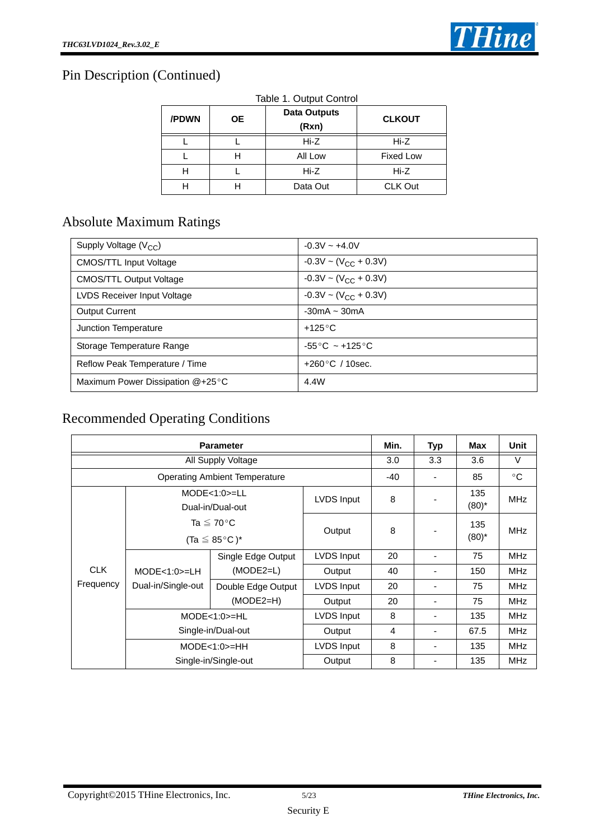

## Pin Description (Continued)

| /PDWN | <b>OE</b> | <b>Data Outputs</b><br>(Rxn) | <b>CLKOUT</b>    |
|-------|-----------|------------------------------|------------------|
|       |           | Hi-Z                         | Hi-Z             |
|       | Н         | All Low                      | <b>Fixed Low</b> |
| н     |           | Hi-Z                         | Hi-Z             |
|       |           | Data Out                     | CLK Out          |

## Absolute Maximum Ratings

| Supply Voltage (V <sub>CC</sub> ) | $-0.3V \sim +4.0V$                  |
|-----------------------------------|-------------------------------------|
| <b>CMOS/TTL Input Voltage</b>     | $-0.3V \sim (V_{CC} + 0.3V)$        |
| <b>CMOS/TTL Output Voltage</b>    | $-0.3V \sim (V_{CC} + 0.3V)$        |
| LVDS Receiver Input Voltage       | $-0.3V \sim (V_{CC} + 0.3V)$        |
| <b>Output Current</b>             | $-30mA \sim 30mA$                   |
| Junction Temperature              | $+125^{\circ}$ C                    |
| Storage Temperature Range         | $-55^{\circ}$ C ~ +125 $^{\circ}$ C |
| Reflow Peak Temperature / Time    | $+260\degree C$ / 10sec.            |
| Maximum Power Dissipation @+25°C  | 4.4W                                |

## Recommended Operating Conditions

| <b>Parameter</b> |                                                          |                                      |            |                | <b>Typ</b> | Max             | Unit         |
|------------------|----------------------------------------------------------|--------------------------------------|------------|----------------|------------|-----------------|--------------|
|                  |                                                          | All Supply Voltage                   |            | 3.0            | 3.3        | 3.6             | $\vee$       |
|                  |                                                          | <b>Operating Ambient Temperature</b> |            | $-40$          |            | 85              | $^{\circ}$ C |
|                  | $MODE < 1:0> = LL$<br>Dual-in/Dual-out                   |                                      | LVDS Input | 8              |            | 135<br>$(80)^*$ | <b>MHz</b>   |
|                  | Ta $\leq 70^{\circ}$ C<br>(Ta $\leq$ 85 °C) <sup>*</sup> |                                      | Output     | 8              |            | 135<br>$(80)^*$ | <b>MHz</b>   |
|                  | $MODE < 1:0> = LH$<br>Dual-in/Single-out                 | Single Edge Output                   | LVDS Input | 20             |            | 75              | <b>MHz</b>   |
| <b>CLK</b>       |                                                          | $(MODE2=L)$                          | Output     | 40             |            | 150             | <b>MHz</b>   |
| Frequency        |                                                          | Double Edge Output                   | LVDS Input | 20             |            | 75              | <b>MHz</b>   |
|                  |                                                          | $(MODE2=H)$                          | Output     | 20             |            | 75              | <b>MHz</b>   |
|                  |                                                          | $MODE < 1:0> = HL$                   | LVDS Input | 8              |            | 135             | <b>MHz</b>   |
|                  |                                                          | Single-in/Dual-out                   | Output     | $\overline{4}$ | ٠          | 67.5            | <b>MHz</b>   |
|                  |                                                          | $MODE < 1:0> = HH$                   | LVDS Input | 8              |            | 135             | <b>MHz</b>   |
|                  |                                                          | Single-in/Single-out                 | Output     | 8              |            | 135             | <b>MHz</b>   |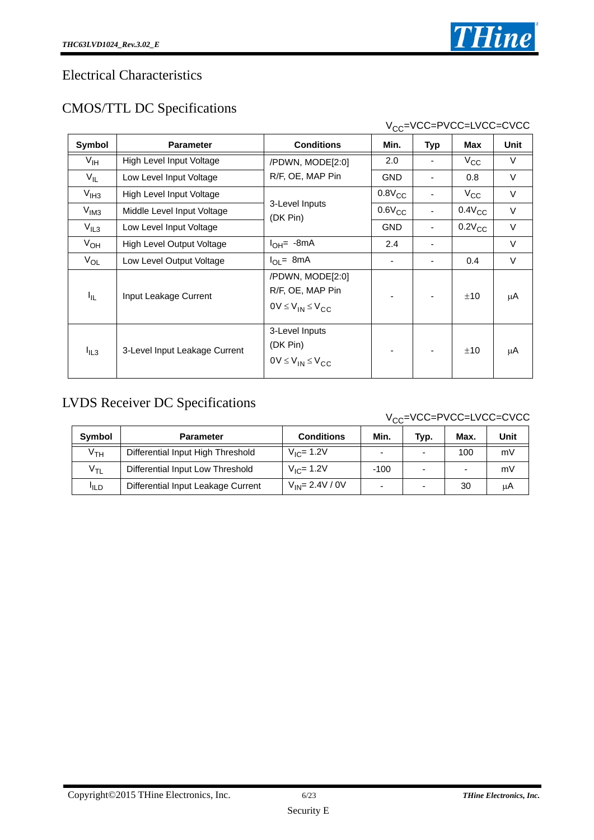### Electrical Characteristics

## CMOS/TTL DC Specifications

|                 |                                  |                                                                      |             |                          | V <sub>CC</sub> =VCC=PVCC=LVCC=CVCC |        |
|-----------------|----------------------------------|----------------------------------------------------------------------|-------------|--------------------------|-------------------------------------|--------|
| Symbol          | <b>Parameter</b>                 | <b>Conditions</b>                                                    | Min.        | <b>Typ</b>               | Max                                 | Unit   |
| $V_{\text{IH}}$ | High Level Input Voltage         | /PDWN, MODE[2:0]                                                     | 2.0         |                          | $V_{\rm CC}$                        | V      |
| $V_{IL}$        | Low Level Input Voltage          | R/F, OE, MAP Pin                                                     | <b>GND</b>  |                          | 0.8                                 | $\vee$ |
| $V_{IH3}$       | High Level Input Voltage         |                                                                      | $0.8V_{CC}$ |                          | $V_{\rm CC}$                        | V      |
| $V_{IM3}$       | Middle Level Input Voltage       | 3-Level Inputs<br>(DK Pin)                                           | $0.6V_{CC}$ |                          | $0.4V_{CC}$                         | $\vee$ |
| $V_{IL3}$       | Low Level Input Voltage          |                                                                      | <b>GND</b>  |                          | $0.2V_{CC}$                         | $\vee$ |
| $V_{OH}$        | <b>High Level Output Voltage</b> | $I_{OH}$ = -8mA                                                      | 2.4         |                          |                                     | V      |
| $V_{OL}$        | Low Level Output Voltage         | $I_{OL}$ 8mA                                                         |             | $\overline{\phantom{0}}$ | 0.4                                 | $\vee$ |
| I <sub>IL</sub> | Input Leakage Current            | /PDWN, MODE[2:0]<br>R/F, OE, MAP Pin<br>$0V \leq V_{IN} \leq V_{CC}$ |             |                          | ±10                                 | μA     |
| $I_{IL3}$       | 3-Level Input Leakage Current    | 3-Level Inputs<br>(DK Pin)<br>$0V \leq V_{IN} \leq V_{CC}$           |             |                          | ±10                                 | μA     |

## LVDS Receiver DC Specifications

### $V_{CC}$ =VCC=PVCC=LVCC=CVCC

| <b>Symbol</b>    | <b>Parameter</b>                   | <b>Conditions</b>     | Min.   | Typ. | Max. | Unit |
|------------------|------------------------------------|-----------------------|--------|------|------|------|
| V <sub>TH</sub>  | Differential Input High Threshold  | $V_{IC} = 1.2V$       |        |      | 100  | mV   |
| V <sub>TL</sub>  | Differential Input Low Threshold   | $V_{IC}$ = 1.2V       | $-100$ |      |      | mV   |
| <sup>I</sup> ILD | Differential Input Leakage Current | $V_{IN} = 2.4 V / 0V$ | -      |      | 30   | μA   |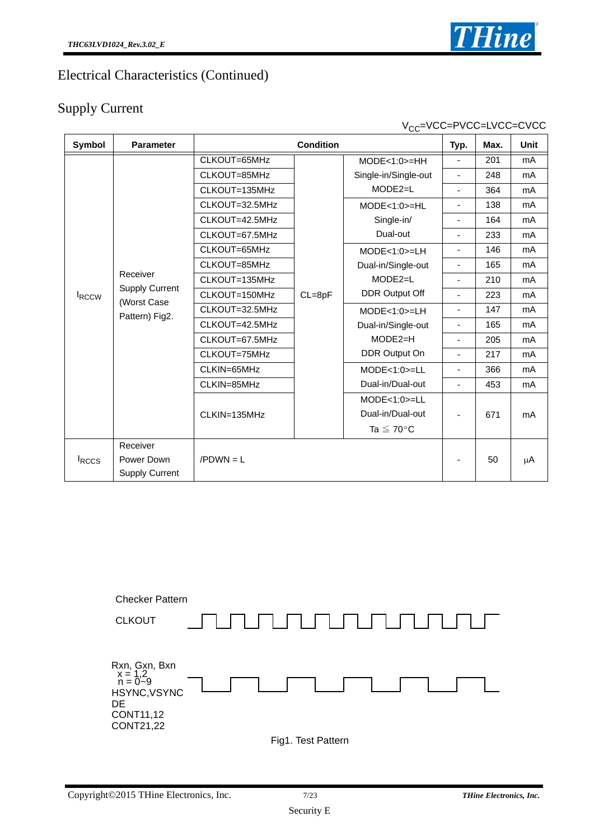## Electrical Characteristics (Continued)

## Supply Current

| Symbol        | <b>Parameter</b>                                                   |                | <b>Condition</b> |                                                                        | Typ.                     | Max. | Unit |
|---------------|--------------------------------------------------------------------|----------------|------------------|------------------------------------------------------------------------|--------------------------|------|------|
|               |                                                                    | CLKOUT=65MHz   |                  | $MODE < 1:0> = HH$                                                     | $\blacksquare$           | 201  | mA   |
|               |                                                                    | CLKOUT=85MHz   |                  | Single-in/Single-out                                                   | $\overline{\phantom{a}}$ | 248  | mA   |
|               |                                                                    | CLKOUT=135MHz  |                  | $MODE2=L$                                                              | $\blacksquare$           | 364  | mA   |
|               |                                                                    | CLKOUT=32.5MHz |                  | $MODE < 1:0> = HL$                                                     | $\overline{\phantom{a}}$ | 138  | mA   |
|               |                                                                    | CLKOUT=42.5MHz |                  | Single-in/                                                             | ٠                        | 164  | mA   |
|               |                                                                    | CLKOUT=67.5MHz |                  | Dual-out                                                               | $\blacksquare$           | 233  | mA   |
|               |                                                                    | CLKOUT=65MHz   |                  | $MODE < 1:0> = LH$                                                     | $\overline{\phantom{a}}$ | 146  | mA   |
|               |                                                                    | CLKOUT=85MHz   |                  | Dual-in/Single-out<br>$MODE2=L$                                        | $\overline{\phantom{a}}$ | 165  | mA   |
|               | Receiver<br><b>Supply Current</b><br>(Worst Case<br>Pattern) Fig2. | CLKOUT=135MHz  |                  |                                                                        | $\blacksquare$           | 210  | mA   |
| <b>IRCCW</b>  |                                                                    | CLKOUT=150MHz  | $CL = 8pF$       | <b>DDR Output Off</b>                                                  | $\overline{\phantom{a}}$ | 223  | mA   |
|               |                                                                    | CLKOUT=32.5MHz |                  | $MODE < 1:0> = LH$<br>Dual-in/Single-out<br>$MODE2=H$<br>DDR Output On | $\blacksquare$           | 147  | mA   |
|               |                                                                    | CLKOUT=42.5MHz |                  |                                                                        | $\overline{\phantom{a}}$ | 165  | mA   |
|               |                                                                    | CLKOUT=67.5MHz |                  |                                                                        | $\blacksquare$           | 205  | mA   |
|               |                                                                    | CLKOUT=75MHz   |                  |                                                                        | ä,                       | 217  | mA   |
|               |                                                                    | CLKIN=65MHz    |                  | $MODE < 1:0> = LL$                                                     | $\blacksquare$           | 366  | mA   |
|               |                                                                    | CLKIN=85MHz    |                  | Dual-in/Dual-out                                                       | $\blacksquare$           | 453  | mA   |
|               |                                                                    |                |                  | $MODE < 1:0> = LL$                                                     |                          |      |      |
|               |                                                                    | CLKIN=135MHz   |                  | Dual-in/Dual-out                                                       |                          | 671  | mA   |
|               |                                                                    |                |                  | Ta $\leq 70^{\circ}$ C                                                 |                          |      |      |
|               | Receiver                                                           |                |                  |                                                                        |                          |      |      |
| <b>I</b> RCCS | Power Down                                                         | $/PDWN = L$    |                  |                                                                        |                          | 50   | μA   |
|               | <b>Supply Current</b>                                              |                |                  |                                                                        |                          |      |      |



V<sub>CC</sub>=VCC=PVCC=LVCC=CVCC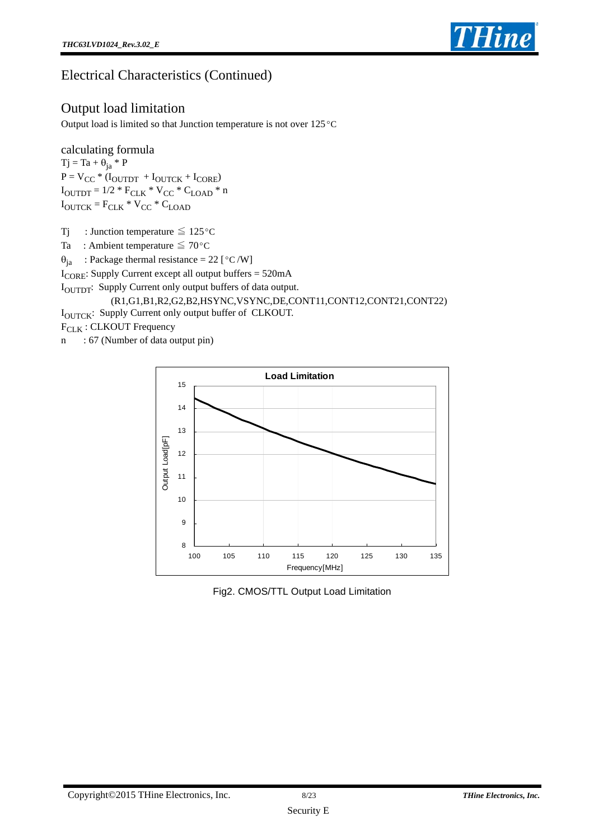

## Electrical Characteristics (Continued)

### Output load limitation

Output load is limited so that Junction temperature is not over 125 °C

calculating formula  $Tj = Ta + \theta_{ja} * P$  $\mathbf{P} = \mathbf{V_{CC}} * (\mathbf{I_{OUTDT}} + \mathbf{I_{OUTCK}} + \mathbf{I_{CORE}})$  $I_{\text{OUTDT}} = 1/2 * F_{\text{CLK}} * V_{\text{CC}} * C_{\text{LOAD}} * n$  $I_{\text{OUTCK}}$  =  $F_{\text{CLK}}$  \*  $V_{\text{CC}}$  \*  $C_{\text{LOAD}}$ 

Tj : Junction temperature  $\leq 125^{\circ}$ C

Ta : Ambient temperature  $\leq 70^{\circ}$ C

 $\theta_{ja}$  : Package thermal resistance = 22 [°C/W]

 $I_{\text{CORE}}$ : Supply Current except all output buffers = 520mA

IOUTDT: Supply Current only output buffers of data output.

#### (R1,G1,B1,R2,G2,B2,HSYNC,VSYNC,DE,CONT11,CONT12,CONT21,CONT22) IOUTCK: Supply Current only output buffer of CLKOUT.  $F_{CLK}$ : CLKOUT Frequency

n : 67 (Number of data output pin)



Fig2. CMOS/TTL Output Load Limitation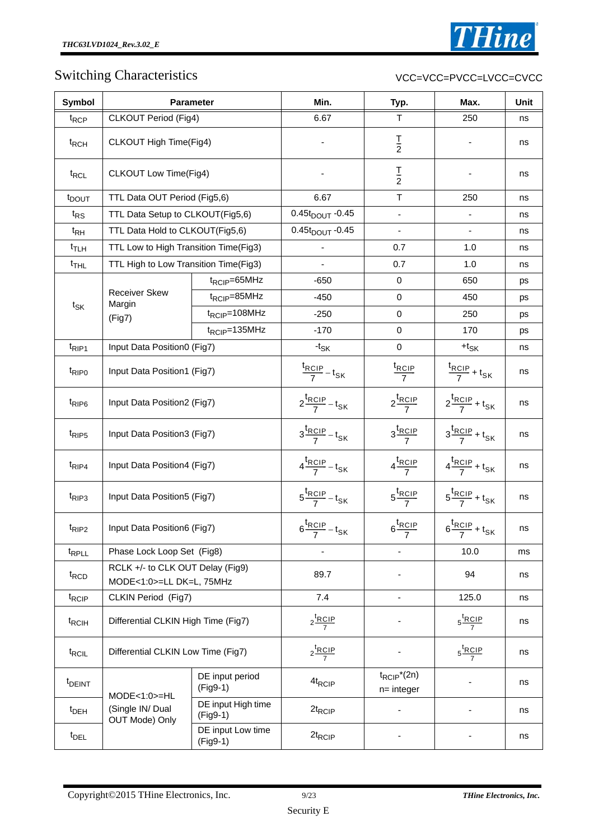## Switching Characteristics

#### VCC=VCC=PVCC=LVCC=CVCC

| Symbol             |                                                              | <b>Parameter</b>                 | Min.                           | Typ.                                         | Max.                                         | Unit |
|--------------------|--------------------------------------------------------------|----------------------------------|--------------------------------|----------------------------------------------|----------------------------------------------|------|
| t <sub>RCP</sub>   | CLKOUT Period (Fig4)                                         |                                  | 6.67                           | $\top$                                       | 250                                          | ns   |
| t <sub>RCH</sub>   | CLKOUT High Time(Fig4)                                       |                                  |                                | $rac{1}{2}$                                  |                                              | ns   |
| t <sub>RCL</sub>   | CLKOUT Low Time(Fig4)                                        |                                  |                                | $rac{1}{2}$                                  |                                              | ns   |
| t <sub>DOUT</sub>  | TTL Data OUT Period (Fig5,6)                                 |                                  | 6.67                           | $\top$                                       | 250                                          | ns   |
| $t_{RS}$           | TTL Data Setup to CLKOUT(Fig5,6)                             |                                  | $0.45t_{DOUT}$ -0.45           | $\overline{\phantom{a}}$                     |                                              | ns   |
| $t_{RH}$           | TTL Data Hold to CLKOUT(Fig5,6)                              |                                  | $0.45t_{DOUT} - 0.45$          | $\overline{\phantom{a}}$                     |                                              | ns   |
| $t_{\text{TLH}}$   | TTL Low to High Transition Time(Fig3)                        |                                  | ä,                             | 0.7                                          | 1.0                                          | ns   |
| $t_{\text{THL}}$   | TTL High to Low Transition Time(Fig3)                        |                                  |                                | 0.7                                          | 1.0                                          | ns   |
|                    |                                                              | $t_{RCIP} = 65 MHz$              | $-650$                         | $\mathbf 0$                                  | 650                                          | ps   |
|                    | <b>Receiver Skew</b>                                         | $t_{RCIP} = 85 MHz$              | $-450$                         | $\pmb{0}$                                    | 450                                          | ps   |
| $t_{SK}$           | Margin<br>(Fig7)                                             | $t_{RCIP} = 108 MHz$             | $-250$                         | $\mathbf 0$                                  | 250                                          | ps   |
|                    |                                                              | $t_{RCIP} = 135 MHz$             | $-170$                         | $\mathbf 0$                                  | 170                                          | ps   |
| $t_{RIP1}$         | Input Data Position0 (Fig7)                                  |                                  | - $t_{\mathsf{SK}}$            | $\mathbf 0$                                  | $+ t_{SK}$                                   | ns   |
| t <sub>RIPO</sub>  | Input Data Position1 (Fig7)                                  |                                  | $\frac{t_{RCIP}}{7} - t_{SK}$  | $\frac{t_{RCIP}}{7}$                         | $\frac{R_{RCIP}}{7}$ + t <sub>SK</sub>       | ns   |
| $t_{\text{RIP6}}$  | Input Data Position2 (Fig7)                                  |                                  | $2\frac{t_{RCIP}}{7} - t_{SK}$ | $2 \frac{\text{t}_{RCIP}}{7}$                | $2\frac{t_{RCIP}}{7} + t_{SK}$               | ns   |
| t <sub>RIP5</sub>  | Input Data Position3 (Fig7)                                  |                                  | $3\frac{t_{RCIP}}{7}-t_{SK}$   | $3 \frac{\text{t}_{RCIP}}{7}$                | $3\frac{t_{RCIP}}{7} + t_{SK}$               | ns   |
| t <sub>RIP4</sub>  | Input Data Position4 (Fig7)                                  |                                  | $4\frac{t_{RCIP}}{7}-t_{SK}$   | $4\frac{\text{t}_{RCIP}}{7}$                 | $4\frac{t_{RCIP}}{7} + t_{SK}$               | ns   |
| t <sub>RIP3</sub>  | Input Data Position5 (Fig7)                                  |                                  | $5\frac{t_{RCIP}}{7}-t_{SK}$   | $5\frac{\text{t}_{RCIP}}{7}$                 | $5\frac{t_{RCIP}}{7} + t_{SK}$               | ns   |
| t <sub>RIP2</sub>  | Input Data Position6 (Fig7)                                  |                                  | $6\frac{t_{RCIP}}{7} - t_{SK}$ | $6\frac{\text{t}_{RCIP}}{7}$                 | $6\frac{\text{t}_{RCIP}}{7} + \text{t}_{SK}$ | ns   |
| t <sub>RPLL</sub>  | Phase Lock Loop Set (Fig8)                                   |                                  |                                |                                              | 10.0                                         | ms   |
| $t_{\text{RCD}}$   | RCLK +/- to CLK OUT Delay (Fig9)<br>MODE<1:0>=LL DK=L, 75MHz |                                  | 89.7                           |                                              | 94                                           | ns   |
| t <sub>RCIP</sub>  | CLKIN Period (Fig7)                                          |                                  | 7.4                            |                                              | 125.0                                        | ns   |
| t <sub>RCIH</sub>  | Differential CLKIN High Time (Fig7)                          |                                  | $2 \frac{\text{t}_{RCIP}}{7}$  |                                              | $5\frac{\text{t}_{RCIP}}{7}$                 | ns   |
| t <sub>RCIL</sub>  | Differential CLKIN Low Time (Fig7)                           |                                  | $2 \frac{\text{t}_{RCIP}}{7}$  |                                              | $5\frac{\text{t}_{RCIP}}{7}$                 | ns   |
| <sup>t</sup> DEINT | $MODE < 1:0> = HL$                                           | DE input period<br>(Fig9-1)      | 4t <sub>RCIP</sub>             | $t_{RCIP}$ <sup>*</sup> (2n)<br>$n=$ integer |                                              | ns   |
| $t_{DEH}$          | (Single IN/ Dual<br>OUT Mode) Only                           | DE input High time<br>$(Fig9-1)$ | $2t_{RCIP}$                    | $\overline{\phantom{0}}$                     |                                              | ns   |
| t <sub>DEL</sub>   |                                                              | DE input Low time<br>(Fig9-1)    | $2t_{RCIP}$                    |                                              |                                              | ns   |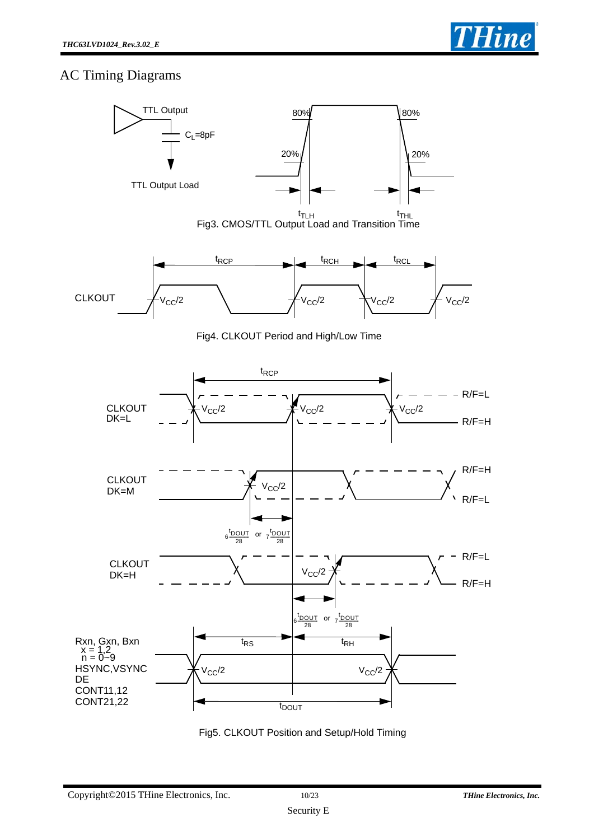### AC Timing Diagrams



Fig5. CLKOUT Position and Setup/Hold Timing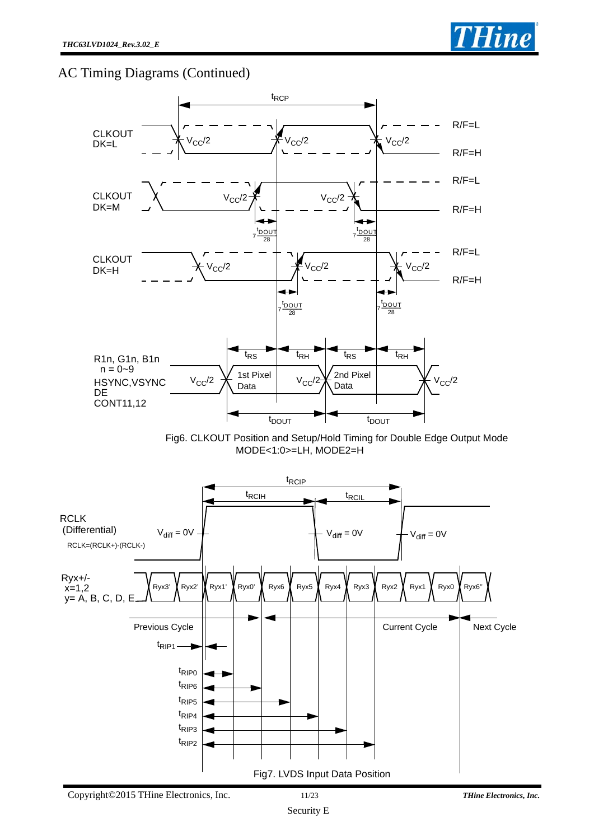### AC Timing Diagrams (Continued)



Fig6. CLKOUT Position and Setup/Hold Timing for Double Edge Output Mode MODE<1:0>=LH, MODE2=H

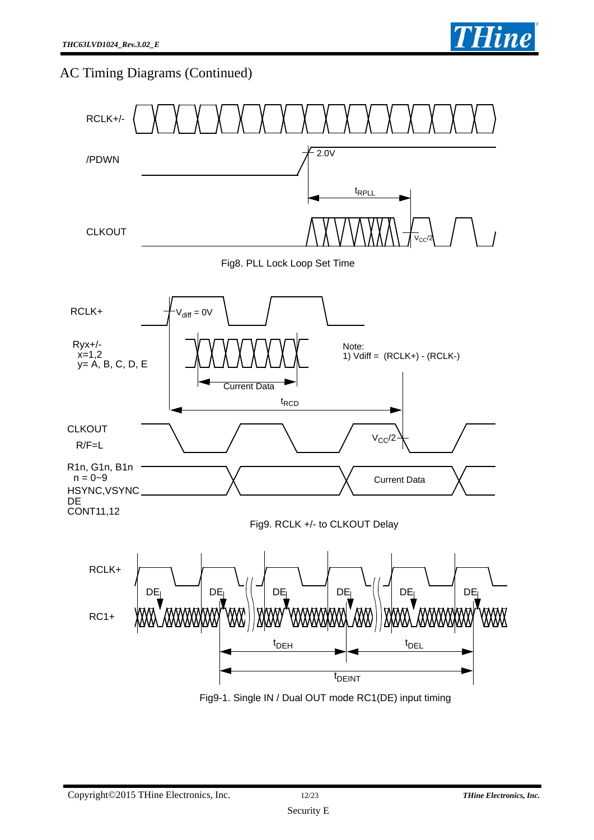

## AC Timing Diagrams (Continued)



Fig9-1. Single IN / Dual OUT mode RC1(DE) input timing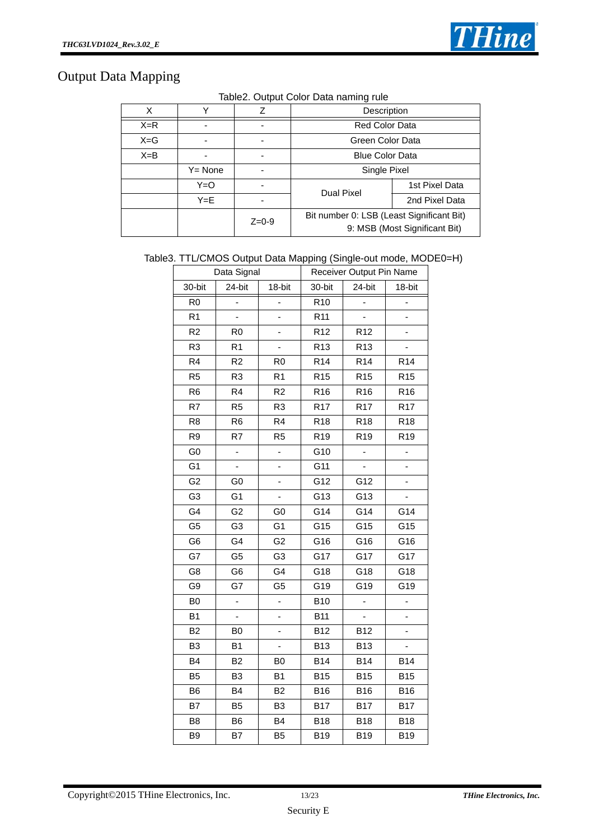

## Output Data Mapping

| Table2. Output Color Data naming rule |  |  |  |
|---------------------------------------|--|--|--|
|                                       |  |  |  |

| X       |         | Z         | Description                                                                |                  |  |  |  |  |
|---------|---------|-----------|----------------------------------------------------------------------------|------------------|--|--|--|--|
| $X=R$   |         |           | <b>Red Color Data</b>                                                      |                  |  |  |  |  |
| $X = G$ |         |           |                                                                            | Green Color Data |  |  |  |  |
| $X = B$ |         |           | <b>Blue Color Data</b>                                                     |                  |  |  |  |  |
|         | Y= None |           | Single Pixel                                                               |                  |  |  |  |  |
|         | Y=O     |           | Dual Pixel                                                                 | 1st Pixel Data   |  |  |  |  |
|         | $Y = E$ |           |                                                                            | 2nd Pixel Data   |  |  |  |  |
|         |         | $Z = 0-9$ | Bit number 0: LSB (Least Significant Bit)<br>9: MSB (Most Significant Bit) |                  |  |  |  |  |

#### Table3. TTL/CMOS Output Data Mapping (Single-out mode, MODE0=H)

|                | Data Signal    |                |                  | Receiver Output Pin Name |                 |  |
|----------------|----------------|----------------|------------------|--------------------------|-----------------|--|
| 30-bit         | 24-bit         | 18-bit         | 30-bit           | 24-bit                   | 18-bit          |  |
| R <sub>0</sub> | L,             |                | $\overline{R10}$ |                          |                 |  |
| R <sub>1</sub> | $\overline{a}$ |                | R <sub>11</sub>  | ÷,                       |                 |  |
| R <sub>2</sub> | R <sub>0</sub> | -              | R <sub>12</sub>  | R <sub>12</sub>          |                 |  |
| R <sub>3</sub> | R <sub>1</sub> |                | R <sub>13</sub>  | R <sub>13</sub>          |                 |  |
| R <sub>4</sub> | R <sub>2</sub> | R <sub>0</sub> | R <sub>14</sub>  | R <sub>14</sub>          | R <sub>14</sub> |  |
| R <sub>5</sub> | R <sub>3</sub> | R <sub>1</sub> | R <sub>15</sub>  | R <sub>15</sub>          | R <sub>15</sub> |  |
| R <sub>6</sub> | R <sub>4</sub> | R <sub>2</sub> | R <sub>16</sub>  | R <sub>16</sub>          | R <sub>16</sub> |  |
| R7             | R <sub>5</sub> | R <sub>3</sub> | R <sub>17</sub>  | R <sub>17</sub>          | R <sub>17</sub> |  |
| R <sub>8</sub> | R <sub>6</sub> | R4             | R <sub>18</sub>  | R <sub>18</sub>          | R <sub>18</sub> |  |
| R <sub>9</sub> | R7             | R <sub>5</sub> | R <sub>19</sub>  | R <sub>19</sub>          | R <sub>19</sub> |  |
| G <sub>0</sub> | ÷,             | ÷,             | G10              | ÷                        | -               |  |
| G <sub>1</sub> | L,             | L,             | G11              |                          | ۰               |  |
| G <sub>2</sub> | G0             | -              | G12              | G12                      |                 |  |
| G <sub>3</sub> | G1             | ÷,             | G13              | G13                      |                 |  |
| G4             | G <sub>2</sub> | G <sub>0</sub> | G14              | G14                      | G14             |  |
| G <sub>5</sub> | G3             | G1             | G15              | G15                      | G15             |  |
| G <sub>6</sub> | G4             | G <sub>2</sub> | G16              | G16                      | G16             |  |
| G7             | G5             | G <sub>3</sub> | G17              | G17                      | G17             |  |
| G8             | G <sub>6</sub> | G4             | G18              | G18                      | G18             |  |
| G9             | G7             | G <sub>5</sub> | G19              | G19                      | G19             |  |
| B <sub>0</sub> | $\overline{a}$ | $\overline{a}$ | <b>B10</b>       |                          | $\overline{a}$  |  |
| B <sub>1</sub> |                | -              | <b>B11</b>       |                          |                 |  |
| B <sub>2</sub> | B <sub>0</sub> |                | <b>B12</b>       | <b>B12</b>               |                 |  |
| B <sub>3</sub> | B <sub>1</sub> | L,             | <b>B13</b>       | <b>B13</b>               | ÷,              |  |
| B <sub>4</sub> | B <sub>2</sub> | B <sub>0</sub> | <b>B14</b>       | <b>B14</b>               | <b>B14</b>      |  |
| B <sub>5</sub> | B <sub>3</sub> | B <sub>1</sub> | <b>B15</b>       | <b>B15</b>               | <b>B15</b>      |  |
| B <sub>6</sub> | B4             | B <sub>2</sub> | <b>B16</b>       | <b>B16</b>               | <b>B16</b>      |  |
| B7             | B <sub>5</sub> | B <sub>3</sub> | <b>B17</b>       | <b>B17</b>               | <b>B17</b>      |  |
| B <sub>8</sub> | B <sub>6</sub> | B <sub>4</sub> | <b>B18</b>       | <b>B18</b>               | <b>B18</b>      |  |
| B <sub>9</sub> | B7             | B <sub>5</sub> | <b>B19</b>       | <b>B19</b>               | <b>B19</b>      |  |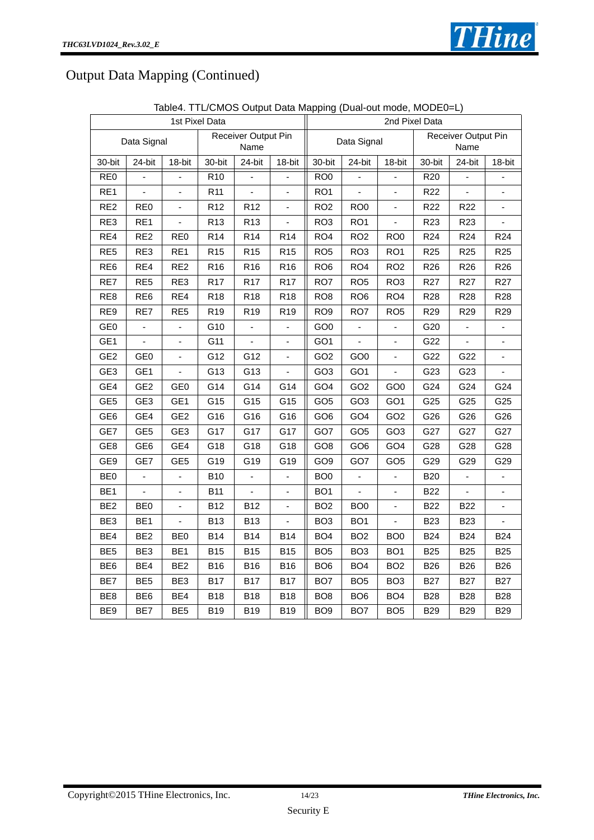

## Output Data Mapping (Continued)

| 1st Pixel Data  |                 |                          |                 |                             |                          | 2nd Pixel Data                             |                          |                 |                 |                 |                              |
|-----------------|-----------------|--------------------------|-----------------|-----------------------------|--------------------------|--------------------------------------------|--------------------------|-----------------|-----------------|-----------------|------------------------------|
|                 | Data Signal     |                          |                 | Receiver Output Pin<br>Name |                          | Receiver Output Pin<br>Data Signal<br>Name |                          |                 |                 |                 |                              |
| 30-bit          | 24-bit          | 18-bit                   | 30-bit          | 24-bit                      | 18-bit                   | 30-bit                                     | 24-bit                   | 18-bit          | 30-bit          | 24-bit          | 18-bit                       |
| RE <sub>0</sub> | ÷,              | $\overline{\phantom{a}}$ | R <sub>10</sub> | ÷                           | ÷                        | RO <sub>0</sub>                            | $\overline{\phantom{a}}$ |                 | R <sub>20</sub> | ÷               | $\overline{\phantom{a}}$     |
| RE1             | ä,              | $\blacksquare$           | R11             | $\frac{1}{2}$               | $\blacksquare$           | RO <sub>1</sub>                            | $\blacksquare$           | $\blacksquare$  | R <sub>22</sub> | ÷,              | $\qquad \qquad \blacksquare$ |
| RE <sub>2</sub> | RE <sub>0</sub> | $\overline{a}$           | R <sub>12</sub> | R <sub>12</sub>             | ä,                       | RO <sub>2</sub>                            | RO <sub>0</sub>          | $\blacksquare$  | R <sub>22</sub> | R <sub>22</sub> |                              |
| RE3             | RE1             | ä,                       | R <sub>13</sub> | R <sub>13</sub>             |                          | RO <sub>3</sub>                            | RO <sub>1</sub>          | $\overline{a}$  | R <sub>23</sub> | R <sub>23</sub> |                              |
| RE4             | RE <sub>2</sub> | RE <sub>0</sub>          | R <sub>14</sub> | R <sub>14</sub>             | R <sub>14</sub>          | RO <sub>4</sub>                            | RO <sub>2</sub>          | RO <sub>0</sub> | R <sub>24</sub> | R <sub>24</sub> | R <sub>24</sub>              |
| RE <sub>5</sub> | RE3             | RE1                      | R <sub>15</sub> | R <sub>15</sub>             | R <sub>15</sub>          | RO <sub>5</sub>                            | RO <sub>3</sub>          | RO <sub>1</sub> | R <sub>25</sub> | R <sub>25</sub> | R <sub>25</sub>              |
| RE <sub>6</sub> | RE4             | RE <sub>2</sub>          | R <sub>16</sub> | R <sub>16</sub>             | R <sub>16</sub>          | RO <sub>6</sub>                            | RO4                      | RO <sub>2</sub> | R <sub>26</sub> | R <sub>26</sub> | R <sub>26</sub>              |
| RE7             | RE <sub>5</sub> | RE3                      | R <sub>17</sub> | R <sub>17</sub>             | <b>R17</b>               | RO7                                        | RO <sub>5</sub>          | RO <sub>3</sub> | R <sub>27</sub> | R <sub>27</sub> | R <sub>27</sub>              |
| RE <sub>8</sub> | RE <sub>6</sub> | RE4                      | R <sub>18</sub> | <b>R18</b>                  | R <sub>18</sub>          | RO <sub>8</sub>                            | RO <sub>6</sub>          | RO <sub>4</sub> | <b>R28</b>      | R28             | <b>R28</b>                   |
| RE9             | RE7             | RE <sub>5</sub>          | R <sub>19</sub> | R <sub>19</sub>             | R <sub>19</sub>          | RO <sub>9</sub>                            | RO7                      | RO <sub>5</sub> | R <sub>29</sub> | R <sub>29</sub> | R <sub>29</sub>              |
| GE <sub>0</sub> | $\overline{a}$  | $\overline{a}$           | G10             | L,                          | $\blacksquare$           | GO <sub>0</sub>                            | $\blacksquare$           |                 | G20             | L,              | ÷                            |
| GE <sub>1</sub> | $\overline{a}$  | $\blacksquare$           | G11             | ä,                          | $\frac{1}{2}$            | GO <sub>1</sub>                            | $\mathbf{r}$             | $\blacksquare$  | G22             | ÷,              |                              |
| GE <sub>2</sub> | GE <sub>0</sub> | $\overline{a}$           | G12             | G12                         | $\overline{a}$           | GO <sub>2</sub>                            | GO <sub>0</sub>          |                 | G22             | G22             |                              |
| GE <sub>3</sub> | GE1             | $\overline{\phantom{a}}$ | G13             | G13                         | ÷,                       | GO <sub>3</sub>                            | GO <sub>1</sub>          | $\blacksquare$  | G23             | G23             |                              |
| GE4             | GE <sub>2</sub> | GE <sub>0</sub>          | G14             | G14                         | G14                      | GO <sub>4</sub>                            | GO <sub>2</sub>          | GO <sub>0</sub> | G24             | G24             | G24                          |
| GE <sub>5</sub> | GE <sub>3</sub> | GE <sub>1</sub>          | G15             | G15                         | G15                      | GO <sub>5</sub>                            | GO <sub>3</sub>          | GO <sub>1</sub> | G25             | G25             | G25                          |
| GE <sub>6</sub> | GE4             | GE <sub>2</sub>          | G16             | G16                         | G16                      | GO <sub>6</sub>                            | GO <sub>4</sub>          | GO <sub>2</sub> | G26             | G26             | G26                          |
| GE7             | GE <sub>5</sub> | GE <sub>3</sub>          | G17             | G17                         | G17                      | GO7                                        | GO <sub>5</sub>          | GO <sub>3</sub> | G27             | G27             | G27                          |
| GE8             | GE <sub>6</sub> | GE4                      | G18             | G18                         | G18                      | GO <sub>8</sub>                            | GO <sub>6</sub>          | GO <sub>4</sub> | G28             | G28             | G28                          |
| GE9             | GE7             | GE <sub>5</sub>          | G19             | G19                         | G19                      | GO <sub>9</sub>                            | GO7                      | GO <sub>5</sub> | G29             | G29             | G29                          |
| BE <sub>0</sub> | $\frac{1}{2}$   | ä,                       | <b>B10</b>      | ÷,                          | ÷,                       | BO <sub>0</sub>                            | ä,                       | ä,              | <b>B20</b>      | $\blacksquare$  |                              |
| BE <sub>1</sub> | $\overline{a}$  | $\overline{a}$           | <b>B11</b>      | $\overline{a}$              | ä,                       | BO <sub>1</sub>                            | $\overline{a}$           |                 | <b>B22</b>      | $\overline{a}$  |                              |
| BE <sub>2</sub> | BE <sub>0</sub> | $\blacksquare$           | <b>B12</b>      | <b>B12</b>                  | $\overline{\phantom{a}}$ | BO <sub>2</sub>                            | BO <sub>0</sub>          | ä,              | <b>B22</b>      | <b>B22</b>      |                              |
| BE <sub>3</sub> | BE <sub>1</sub> | $\overline{\phantom{a}}$ | <b>B13</b>      | <b>B13</b>                  | $\frac{1}{2}$            | BO <sub>3</sub>                            | BO <sub>1</sub>          | $\blacksquare$  | <b>B23</b>      | <b>B23</b>      | $\overline{a}$               |
| BE4             | BE <sub>2</sub> | BE <sub>0</sub>          | <b>B14</b>      | <b>B14</b>                  | <b>B14</b>               | BO <sub>4</sub>                            | BO <sub>2</sub>          | BO <sub>0</sub> | <b>B24</b>      | <b>B24</b>      | <b>B24</b>                   |
| BE <sub>5</sub> | BE3             | BE <sub>1</sub>          | <b>B15</b>      | <b>B15</b>                  | <b>B15</b>               | BO <sub>5</sub>                            | BO <sub>3</sub>          | BO <sub>1</sub> | <b>B25</b>      | <b>B25</b>      | <b>B25</b>                   |
| BE <sub>6</sub> | BE4             | BE <sub>2</sub>          | <b>B16</b>      | <b>B16</b>                  | <b>B16</b>               | BO <sub>6</sub>                            | BO <sub>4</sub>          | BO <sub>2</sub> | <b>B26</b>      | <b>B26</b>      | <b>B26</b>                   |
| BE7             | BE <sub>5</sub> | BE3                      | <b>B17</b>      | <b>B17</b>                  | <b>B17</b>               | BO <sub>7</sub>                            | BO <sub>5</sub>          | BO <sub>3</sub> | <b>B27</b>      | <b>B27</b>      | <b>B27</b>                   |
| BE <sub>8</sub> | BE <sub>6</sub> | BE4                      | B18             | <b>B18</b>                  | <b>B18</b>               | BO <sub>8</sub>                            | BO <sub>6</sub>          | BO <sub>4</sub> | <b>B28</b>      | <b>B28</b>      | <b>B28</b>                   |
| BE9             | BE7             | BE <sub>5</sub>          | <b>B19</b>      | <b>B19</b>                  | <b>B19</b>               | BO <sub>9</sub>                            | BO <sub>7</sub>          | BO <sub>5</sub> | <b>B29</b>      | <b>B29</b>      | <b>B29</b>                   |

Table4. TTL/CMOS Output Data Mapping (Dual-out mode, MODE0=L)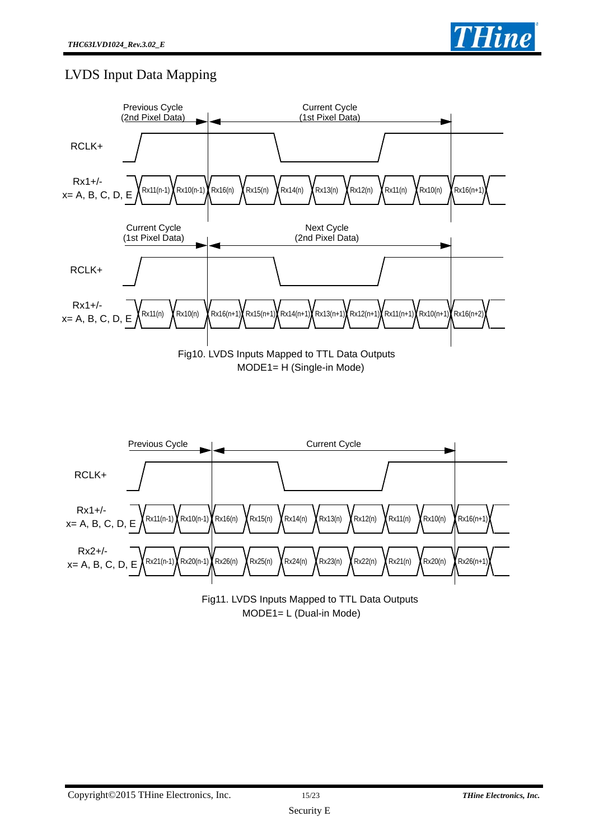

## LVDS Input Data Mapping



Fig11. LVDS Inputs Mapped to TTL Data Outputs MODE1= L (Dual-in Mode)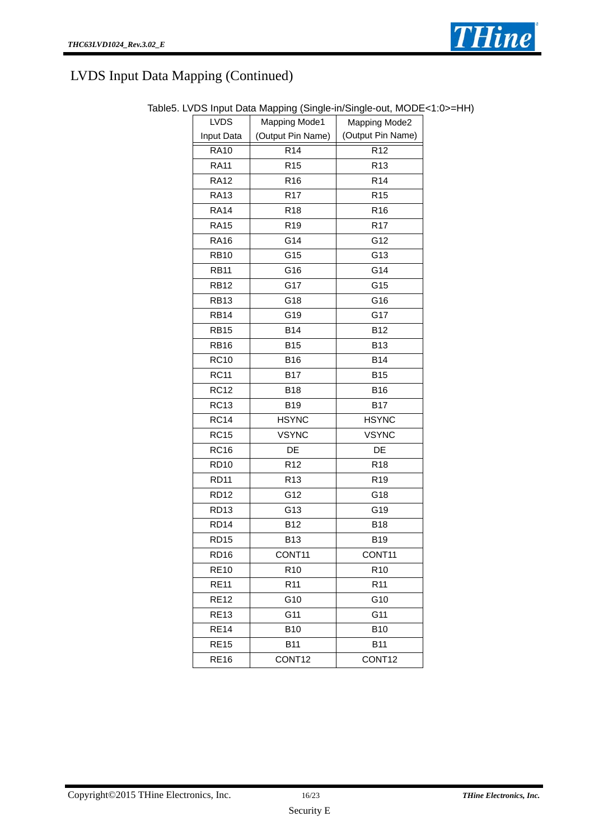

| <b>LVDS</b>      | <b>Mapping Mode1</b> | Mapping Mode2      |  |
|------------------|----------------------|--------------------|--|
| Input Data       | (Output Pin Name)    | (Output Pin Name)  |  |
| <b>RA10</b>      | R <sub>14</sub>      | R <sub>12</sub>    |  |
| <b>RA11</b>      | R <sub>15</sub>      | R <sub>13</sub>    |  |
| <b>RA12</b>      | R <sub>16</sub>      | R <sub>14</sub>    |  |
| <b>RA13</b>      | R <sub>17</sub>      | R <sub>15</sub>    |  |
| <b>RA14</b>      | R <sub>18</sub>      | R <sub>16</sub>    |  |
| <b>RA15</b>      | R <sub>19</sub>      | R <sub>17</sub>    |  |
| <b>RA16</b>      | G14                  | G12                |  |
| <b>RB10</b>      | G15                  | G13                |  |
| <b>RB11</b>      | G16                  | G14                |  |
| <b>RB12</b>      | G17                  | G15                |  |
| <b>RB13</b>      | G18                  | G16                |  |
| <b>RB14</b>      | G19                  | G17                |  |
| <b>RB15</b>      | <b>B14</b>           | <b>B12</b>         |  |
| RB <sub>16</sub> | <b>B15</b>           | <b>B13</b>         |  |
| <b>RC10</b>      | B16                  | <b>B14</b>         |  |
| <b>RC11</b>      | <b>B17</b>           | <b>B15</b>         |  |
| <b>RC12</b>      | <b>B18</b>           | B16                |  |
| <b>RC13</b>      | B19                  | <b>B17</b>         |  |
| <b>RC14</b>      | <b>HSYNC</b>         | <b>HSYNC</b>       |  |
| <b>RC15</b>      | <b>VSYNC</b>         | <b>VSYNC</b>       |  |
| <b>RC16</b>      | DE                   | DE                 |  |
| <b>RD10</b>      | R <sub>12</sub>      | R <sub>18</sub>    |  |
| <b>RD11</b>      | R <sub>13</sub>      | R <sub>19</sub>    |  |
| <b>RD12</b>      | G12                  | G18                |  |
| <b>RD13</b>      | G13                  | G19                |  |
| <b>RD14</b>      | B12                  | <b>B18</b>         |  |
| RD <sub>15</sub> | <b>B13</b>           | <b>B19</b>         |  |
| <b>RD16</b>      | CONT <sub>11</sub>   | CONT <sub>11</sub> |  |
| <b>RE10</b>      | R <sub>10</sub>      | R <sub>10</sub>    |  |
| <b>RE11</b>      | R <sub>11</sub>      | R <sub>11</sub>    |  |
| <b>RE12</b>      | G10                  | G10                |  |
| <b>RE13</b>      | G11                  | G11                |  |
| <b>RE14</b>      | <b>B10</b>           | <b>B10</b>         |  |
| <b>RE15</b>      | <b>B11</b>           | <b>B11</b>         |  |
| <b>RE16</b>      | CONT12               | CONT12             |  |

#### Table5. LVDS Input Data Mapping (Single-in/Single-out, MODE<1:0>=HH)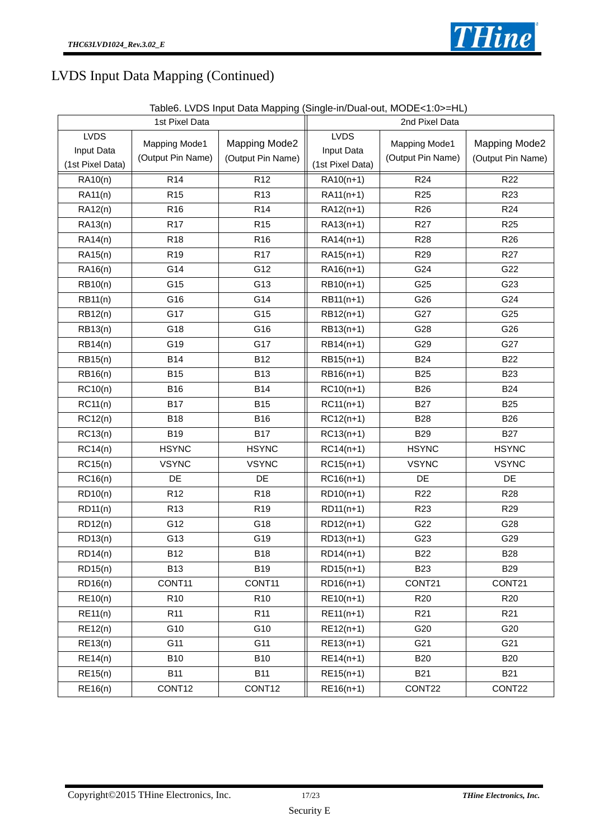

| Table6. LVDS Input Data Mapping (Single-in/Dual-out, MODE<1:0>=HL) |  |  |  |  |  |  |  |  |  |  |
|--------------------------------------------------------------------|--|--|--|--|--|--|--|--|--|--|
|--------------------------------------------------------------------|--|--|--|--|--|--|--|--|--|--|

|                                               | 1st Pixel Data                                                           |                 | 2nd Pixel Data                                |                                           |                                    |  |
|-----------------------------------------------|--------------------------------------------------------------------------|-----------------|-----------------------------------------------|-------------------------------------------|------------------------------------|--|
| <b>LVDS</b><br>Input Data<br>(1st Pixel Data) | Mapping Mode1<br>Mapping Mode2<br>(Output Pin Name)<br>(Output Pin Name) |                 | <b>LVDS</b><br>Input Data<br>(1st Pixel Data) | <b>Mapping Mode1</b><br>(Output Pin Name) | Mapping Mode2<br>(Output Pin Name) |  |
| $\overline{RA10(n)}$                          | $\overline{R}$ 14                                                        | R <sub>12</sub> | RA10(n+1)                                     | R <sub>24</sub>                           | <b>R22</b>                         |  |
| RA11(n)                                       | R <sub>15</sub>                                                          | R <sub>13</sub> | RA11(n+1)                                     | R <sub>25</sub>                           | R <sub>23</sub>                    |  |
| RA12(n)                                       | R <sub>16</sub>                                                          | R <sub>14</sub> | RA12(n+1)                                     | R <sub>26</sub>                           | R <sub>24</sub>                    |  |
| RA13(n)                                       | R <sub>17</sub>                                                          | R <sub>15</sub> | RA13(n+1)                                     | R <sub>27</sub>                           | R <sub>25</sub>                    |  |
| RA14(n)                                       | R <sub>18</sub>                                                          | R <sub>16</sub> | RA14(n+1)                                     | R <sub>28</sub>                           | R <sub>26</sub>                    |  |
| RA15(n)                                       | R <sub>19</sub>                                                          | R <sub>17</sub> | RA15(n+1)                                     | R <sub>29</sub>                           | R <sub>27</sub>                    |  |
| RA16(n)                                       | G14                                                                      | G12             | RA16(n+1)                                     | G24                                       | G22                                |  |
| RB10(n)                                       | G15                                                                      | G13             | RB10(n+1)                                     | G25                                       | G23                                |  |
| <b>RB11(n)</b>                                | G16                                                                      | G14             | RB11(n+1)                                     | G26                                       | G24                                |  |
| RB12(n)                                       | G17                                                                      | G15             | RB12(n+1)                                     | G27                                       | G25                                |  |
| RB13(n)                                       | G18                                                                      | G16             | RB13(n+1)                                     | G28                                       | G26                                |  |
| RB14(n)                                       | G19                                                                      | G17             | RB14(n+1)                                     | G29                                       | G27                                |  |
| RB15(n)                                       | <b>B14</b>                                                               | <b>B12</b>      | RB15(n+1)                                     | <b>B24</b>                                | <b>B22</b>                         |  |
| RB16(n)                                       | <b>B15</b>                                                               | <b>B13</b>      | RB16(n+1)                                     | <b>B25</b>                                | <b>B23</b>                         |  |
| RC10(n)                                       | <b>B16</b>                                                               | <b>B14</b>      | $RC10(n+1)$                                   | <b>B26</b>                                | <b>B24</b>                         |  |
| RC11(n)                                       | <b>B17</b>                                                               | <b>B15</b>      | $RC11(n+1)$                                   | <b>B27</b>                                | <b>B25</b>                         |  |
| RC12(n)                                       | <b>B18</b>                                                               | <b>B16</b>      | $RC12(n+1)$                                   | <b>B28</b>                                | <b>B26</b>                         |  |
| RC13(n)                                       | <b>B19</b>                                                               | <b>B17</b>      | $RC13(n+1)$                                   | <b>B29</b>                                | <b>B27</b>                         |  |
| RC14(n)                                       | <b>HSYNC</b>                                                             | <b>HSYNC</b>    | $RC14(n+1)$                                   | <b>HSYNC</b>                              | <b>HSYNC</b>                       |  |
| RC15(n)                                       | <b>VSYNC</b>                                                             | <b>VSYNC</b>    | $RC15(n+1)$                                   | <b>VSYNC</b>                              | <b>VSYNC</b>                       |  |
| RC16(n)                                       | DE                                                                       | DE              | $RC16(n+1)$                                   | DE                                        | DE                                 |  |
| RD10(n)                                       | R <sub>12</sub>                                                          | R <sub>18</sub> | RD10(n+1)                                     | R <sub>22</sub>                           | R <sub>28</sub>                    |  |
| RD11(n)                                       | R <sub>13</sub>                                                          | R <sub>19</sub> | RD11(n+1)                                     | R <sub>23</sub>                           | R <sub>29</sub>                    |  |
| RD12(n)                                       | G12                                                                      | G18             | RD12(n+1)                                     | G22                                       | G28                                |  |
| RD13(n)                                       | G13                                                                      | G19             | RD13(n+1)                                     | G23                                       | G29                                |  |
| RD14(n)                                       | <b>B12</b>                                                               | <b>B18</b>      | RD14(n+1)                                     | <b>B22</b>                                | <b>B28</b>                         |  |
| RD15(n)                                       | <b>B13</b>                                                               | <b>B19</b>      | RD15(n+1)                                     | <b>B23</b>                                | <b>B29</b>                         |  |
| RD16(n)                                       | CONT11                                                                   | CONT11          | RD16(n+1)                                     | CONT21                                    | CONT21                             |  |
| RE10(n)                                       | R <sub>10</sub>                                                          | R <sub>10</sub> | $RE10(n+1)$                                   | R <sub>20</sub>                           | R <sub>20</sub>                    |  |
| RE11(n)                                       | R <sub>11</sub>                                                          | R <sub>11</sub> | $RE11(n+1)$                                   | R <sub>21</sub>                           | R <sub>21</sub>                    |  |
| RE12(n)                                       | G10                                                                      | G10             | $RE12(n+1)$                                   | G20                                       | G20                                |  |
| RE13(n)                                       | G11                                                                      | G11             | $RE13(n+1)$                                   | G21                                       | G21                                |  |
| <b>RE14(n)</b>                                | <b>B10</b>                                                               | <b>B10</b>      | $RE14(n+1)$                                   | <b>B20</b>                                | <b>B20</b>                         |  |
| RE15(n)                                       | <b>B11</b>                                                               | <b>B11</b>      | $RE15(n+1)$                                   | <b>B21</b>                                | <b>B21</b>                         |  |
| RE16(n)                                       | CONT12                                                                   | CONT12          | RE16(n+1)                                     | CONT22                                    | CONT22                             |  |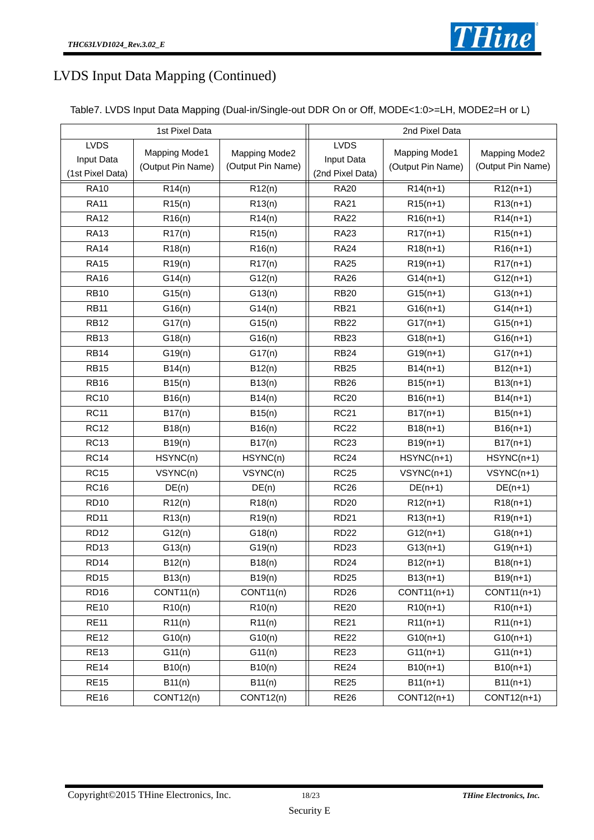

| Table7. LVDS Input Data Mapping (Dual-in/Single-out DDR On or Off, MODE<1:0>=LH, MODE2=H or L) |  |  |
|------------------------------------------------------------------------------------------------|--|--|
|------------------------------------------------------------------------------------------------|--|--|

|                                               | 1st Pixel Data                                                           |           | 2nd Pixel Data                                |                                           |                                    |  |
|-----------------------------------------------|--------------------------------------------------------------------------|-----------|-----------------------------------------------|-------------------------------------------|------------------------------------|--|
| <b>LVDS</b><br>Input Data<br>(1st Pixel Data) | Mapping Mode1<br>Mapping Mode2<br>(Output Pin Name)<br>(Output Pin Name) |           | <b>LVDS</b><br>Input Data<br>(2nd Pixel Data) | <b>Mapping Mode1</b><br>(Output Pin Name) | Mapping Mode2<br>(Output Pin Name) |  |
| <b>RA10</b>                                   | R14(n)                                                                   | R12(n)    | <b>RA20</b>                                   | $R14(n+1)$                                | $R12(n+1)$                         |  |
| <b>RA11</b>                                   | R15(n)                                                                   | R13(n)    | <b>RA21</b>                                   | $R15(n+1)$                                | $R13(n+1)$                         |  |
| <b>RA12</b>                                   | R16(n)                                                                   | R14(n)    | <b>RA22</b>                                   | $R16(n+1)$                                | $R14(n+1)$                         |  |
| <b>RA13</b>                                   | R17(n)                                                                   | R15(n)    | <b>RA23</b>                                   | $R17(n+1)$                                | $R15(n+1)$                         |  |
| <b>RA14</b>                                   | R18(n)                                                                   | R16(n)    | <b>RA24</b>                                   | $R18(n+1)$                                | $R16(n+1)$                         |  |
| <b>RA15</b>                                   | R19(n)                                                                   | R17(n)    | <b>RA25</b>                                   | $R19(n+1)$                                | $R17(n+1)$                         |  |
| <b>RA16</b>                                   | G14(n)                                                                   | G12(n)    | <b>RA26</b>                                   | $G14(n+1)$                                | $G12(n+1)$                         |  |
| <b>RB10</b>                                   | G15(n)                                                                   | G13(n)    | <b>RB20</b>                                   | $G15(n+1)$                                | $G13(n+1)$                         |  |
| <b>RB11</b>                                   | G16(n)                                                                   | G14(n)    | <b>RB21</b>                                   | $G16(n+1)$                                | $G14(n+1)$                         |  |
| <b>RB12</b>                                   | G17(n)                                                                   | G15(n)    | <b>RB22</b>                                   | $G17(n+1)$                                | $G15(n+1)$                         |  |
| <b>RB13</b>                                   | G18(n)                                                                   | G16(n)    | <b>RB23</b>                                   | $G18(n+1)$                                | $G16(n+1)$                         |  |
| <b>RB14</b>                                   | G19(n)                                                                   | G17(n)    | <b>RB24</b>                                   | $G19(n+1)$                                | $G17(n+1)$                         |  |
| <b>RB15</b>                                   | B14(n)                                                                   | B12(n)    | <b>RB25</b>                                   | $B14(n+1)$                                | $B12(n+1)$                         |  |
| <b>RB16</b>                                   | B15(n)                                                                   | B13(n)    | <b>RB26</b>                                   | $B15(n+1)$                                | $B13(n+1)$                         |  |
| <b>RC10</b>                                   | B16(n)                                                                   | B14(n)    | <b>RC20</b>                                   | $B16(n+1)$                                | $B14(n+1)$                         |  |
| <b>RC11</b>                                   | B17(n)                                                                   | B15(n)    | <b>RC21</b>                                   | $B17(n+1)$                                | $B15(n+1)$                         |  |
| <b>RC12</b>                                   | B18(n)                                                                   | B16(n)    | <b>RC22</b>                                   | $B18(n+1)$                                | $B16(n+1)$                         |  |
| <b>RC13</b>                                   | B19(n)                                                                   | B17(n)    | <b>RC23</b>                                   | $B19(n+1)$                                | $B17(n+1)$                         |  |
| <b>RC14</b>                                   | HSYNC(n)                                                                 | HSYNC(n)  | <b>RC24</b>                                   | HSYNC(n+1)                                | HSYNC(n+1)                         |  |
| <b>RC15</b>                                   | VSYNC(n)                                                                 | VSYNC(n)  | <b>RC25</b>                                   | $VSYNC(n+1)$                              | $VSYNC(n+1)$                       |  |
| <b>RC16</b>                                   | DE(n)                                                                    | DE(n)     | <b>RC26</b>                                   | $DE(n+1)$                                 | $DE(n+1)$                          |  |
| <b>RD10</b>                                   | R12(n)                                                                   | R18(n)    | <b>RD20</b>                                   | $R12(n+1)$                                | $R18(n+1)$                         |  |
| <b>RD11</b>                                   | R13(n)                                                                   | R19(n)    | <b>RD21</b>                                   | $R13(n+1)$                                | $R19(n+1)$                         |  |
| <b>RD12</b>                                   | G12(n)                                                                   | G18(n)    | <b>RD22</b>                                   | $G12(n+1)$                                | $G18(n+1)$                         |  |
| RD <sub>13</sub>                              | G13(n)                                                                   | G19(n)    | <b>RD23</b>                                   | $G13(n+1)$                                | $G19(n+1)$                         |  |
| RD <sub>14</sub>                              | B12(n)                                                                   | B18(n)    | RD <sub>24</sub>                              | $B12(n+1)$                                | $B18(n+1)$                         |  |
| <b>RD15</b>                                   | B13(n)                                                                   | B19(n)    | <b>RD25</b>                                   | $B13(n+1)$                                | $B19(n+1)$                         |  |
| RD <sub>16</sub>                              | CONT11(n)                                                                | CONT11(n) | <b>RD26</b>                                   | CONT11(n+1)                               | CONT11(n+1)                        |  |
| <b>RE10</b>                                   | R10(n)                                                                   | R10(n)    | <b>RE20</b>                                   | $R10(n+1)$                                | $R10(n+1)$                         |  |
| <b>RE11</b>                                   | R11(n)                                                                   | R11(n)    | <b>RE21</b>                                   | $R11(n+1)$                                | $R11(n+1)$                         |  |
| <b>RE12</b>                                   | G10(n)                                                                   | G10(n)    | <b>RE22</b>                                   | $G10(n+1)$                                | $G10(n+1)$                         |  |
| <b>RE13</b>                                   | G11(n)                                                                   | G11(n)    | <b>RE23</b>                                   | $G11(n+1)$                                | $G11(n+1)$                         |  |
| <b>RE14</b>                                   | B10(n)                                                                   | B10(n)    | <b>RE24</b>                                   | $B10(n+1)$                                | $B10(n+1)$                         |  |
| <b>RE15</b>                                   | B11(n)                                                                   | B11(n)    | <b>RE25</b>                                   | $B11(n+1)$                                | $B11(n+1)$                         |  |
| <b>RE16</b>                                   | CONT12(n)                                                                | CONT12(n) | <b>RE26</b>                                   | CONT12(n+1)                               | CONT12(n+1)                        |  |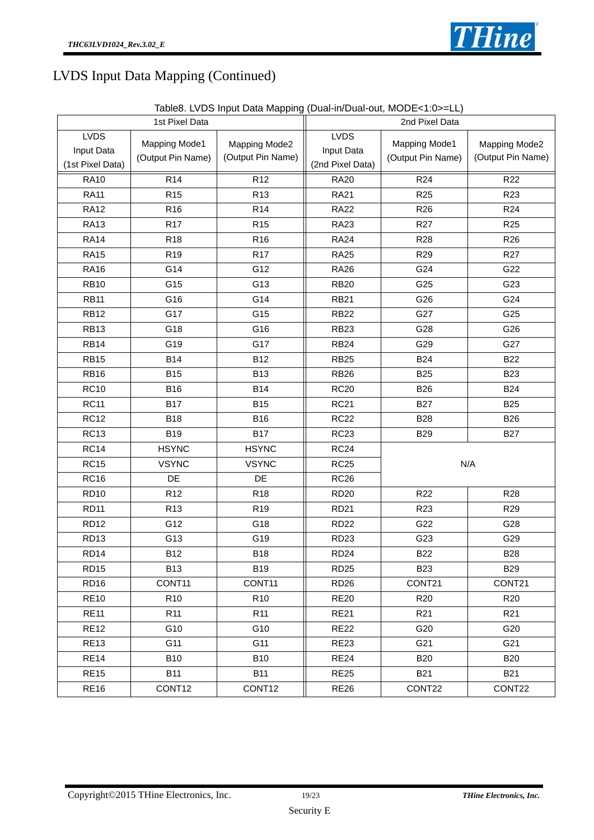

|                                               | 1st Pixel Data                                                                  |                 | 2nd Pixel Data                                |                                           |                                    |  |
|-----------------------------------------------|---------------------------------------------------------------------------------|-----------------|-----------------------------------------------|-------------------------------------------|------------------------------------|--|
| <b>LVDS</b><br>Input Data<br>(1st Pixel Data) | <b>Mapping Mode1</b><br>Mapping Mode2<br>(Output Pin Name)<br>(Output Pin Name) |                 | <b>LVDS</b><br>Input Data<br>(2nd Pixel Data) | <b>Mapping Mode1</b><br>(Output Pin Name) | Mapping Mode2<br>(Output Pin Name) |  |
| <b>RA10</b>                                   | R <sub>14</sub>                                                                 | R <sub>12</sub> | <b>RA20</b>                                   | R <sub>24</sub>                           | R <sub>22</sub>                    |  |
| <b>RA11</b>                                   | R <sub>15</sub>                                                                 | R <sub>13</sub> | <b>RA21</b>                                   | R <sub>25</sub>                           | R <sub>23</sub>                    |  |
| <b>RA12</b>                                   | R <sub>16</sub>                                                                 | R <sub>14</sub> | <b>RA22</b>                                   | R <sub>26</sub>                           | R <sub>24</sub>                    |  |
| <b>RA13</b>                                   | R <sub>17</sub>                                                                 | R <sub>15</sub> | <b>RA23</b>                                   | R <sub>27</sub>                           | R <sub>25</sub>                    |  |
| <b>RA14</b>                                   | <b>R18</b>                                                                      | R <sub>16</sub> | <b>RA24</b>                                   | R <sub>28</sub>                           | R <sub>26</sub>                    |  |
| <b>RA15</b>                                   | R <sub>19</sub>                                                                 | R <sub>17</sub> | <b>RA25</b>                                   | R <sub>29</sub>                           | R <sub>27</sub>                    |  |
| <b>RA16</b>                                   | G14                                                                             | G12             | <b>RA26</b>                                   | G24                                       | G22                                |  |
| <b>RB10</b>                                   | G15                                                                             | G13             | <b>RB20</b>                                   | G25                                       | G23                                |  |
| <b>RB11</b>                                   | G16                                                                             | G14             | <b>RB21</b>                                   | G26                                       | G24                                |  |
| <b>RB12</b>                                   | G17                                                                             | G15             | <b>RB22</b>                                   | G27                                       | G25                                |  |
| <b>RB13</b>                                   | G18                                                                             | G16             | <b>RB23</b>                                   | G28                                       | G26                                |  |
| <b>RB14</b>                                   | G19                                                                             | G17             | <b>RB24</b>                                   | G29                                       | G27                                |  |
| <b>RB15</b>                                   | <b>B14</b>                                                                      | <b>B12</b>      | <b>RB25</b>                                   | <b>B24</b>                                | <b>B22</b>                         |  |
| <b>RB16</b>                                   | <b>B15</b>                                                                      | <b>B13</b>      | <b>RB26</b>                                   | <b>B25</b>                                | <b>B23</b>                         |  |
| <b>RC10</b>                                   | <b>B16</b>                                                                      | <b>B14</b>      | <b>RC20</b>                                   | <b>B26</b>                                | <b>B24</b>                         |  |
| <b>RC11</b>                                   | <b>B17</b>                                                                      | <b>B15</b>      | <b>RC21</b>                                   | <b>B27</b>                                | <b>B25</b>                         |  |
| <b>RC12</b>                                   | <b>B18</b>                                                                      | <b>B16</b>      | <b>RC22</b>                                   | <b>B28</b>                                | <b>B26</b>                         |  |
| <b>RC13</b>                                   | <b>B19</b>                                                                      | <b>B17</b>      | <b>RC23</b>                                   | <b>B29</b>                                | <b>B27</b>                         |  |
| <b>RC14</b>                                   | <b>HSYNC</b>                                                                    | <b>HSYNC</b>    | <b>RC24</b>                                   |                                           |                                    |  |
| <b>RC15</b>                                   | <b>VSYNC</b>                                                                    | <b>VSYNC</b>    | <b>RC25</b>                                   | N/A                                       |                                    |  |
| <b>RC16</b>                                   | DE                                                                              | DE              | <b>RC26</b>                                   |                                           |                                    |  |
| <b>RD10</b>                                   | R <sub>12</sub>                                                                 | R <sub>18</sub> | <b>RD20</b>                                   | R <sub>22</sub>                           | R <sub>28</sub>                    |  |
| <b>RD11</b>                                   | R <sub>13</sub>                                                                 | R <sub>19</sub> | <b>RD21</b>                                   | R <sub>23</sub>                           | R <sub>29</sub>                    |  |
| <b>RD12</b>                                   | G12                                                                             | G18             | <b>RD22</b>                                   | G22                                       | G28                                |  |
| RD <sub>13</sub>                              | G13                                                                             | G19             | <b>RD23</b>                                   | G23                                       | G29                                |  |
| RD14                                          | <b>B12</b>                                                                      | <b>B18</b>      | RD <sub>24</sub>                              | <b>B22</b>                                | <b>B28</b>                         |  |
| RD <sub>15</sub>                              | <b>B13</b>                                                                      | <b>B19</b>      | <b>RD25</b>                                   | <b>B23</b>                                | <b>B29</b>                         |  |
| <b>RD16</b>                                   | CONT11                                                                          | CONT11          | <b>RD26</b>                                   | CONT21                                    | CONT21                             |  |
| <b>RE10</b>                                   | R <sub>10</sub>                                                                 | R <sub>10</sub> | <b>RE20</b>                                   | R <sub>20</sub>                           | R <sub>20</sub>                    |  |
| <b>RE11</b>                                   | R <sub>11</sub>                                                                 | R <sub>11</sub> | <b>RE21</b>                                   | R <sub>21</sub>                           | R <sub>21</sub>                    |  |
| <b>RE12</b>                                   | G10                                                                             | G10             | <b>RE22</b>                                   | G20                                       | G20                                |  |
| <b>RE13</b>                                   | G11                                                                             | G11             | <b>RE23</b>                                   | G21                                       | G21                                |  |
| <b>RE14</b>                                   | <b>B10</b>                                                                      | <b>B10</b>      | <b>RE24</b>                                   | <b>B20</b>                                | <b>B20</b>                         |  |
| <b>RE15</b>                                   | <b>B11</b>                                                                      | <b>B11</b>      | <b>RE25</b>                                   | <b>B21</b>                                | <b>B21</b>                         |  |
| <b>RE16</b>                                   | CONT12                                                                          | CONT12          | <b>RE26</b>                                   | CONT22                                    | CONT22                             |  |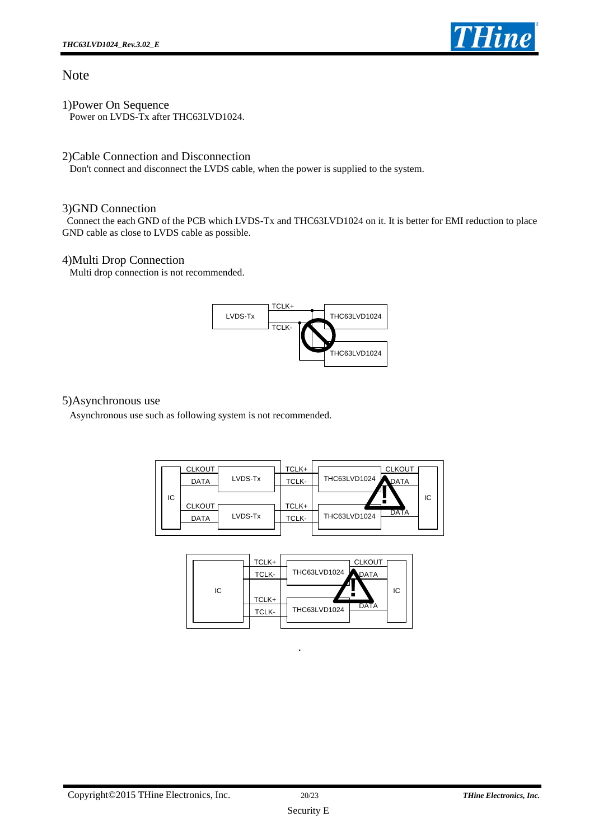

#### Note

1)Power On Sequence Power on LVDS-Tx after THC63LVD1024.

#### 2)Cable Connection and Disconnection

Don't connect and disconnect the LVDS cable, when the power is supplied to the system.

#### 3)GND Connection

 Connect the each GND of the PCB which LVDS-Tx and THC63LVD1024 on it. It is better for EMI reduction to place GND cable as close to LVDS cable as possible.

#### 4)Multi Drop Connection

Multi drop connection is not recommended.



#### 5)Asynchronous use

Asynchronous use such as following system is not recommended.



|    | TCLK+ | <b>CLKOUT</b>        |
|----|-------|----------------------|
|    | TCLK- | THC63LVD1024<br>DATA |
| IC |       | IC                   |
|    | TCLK+ | <b>DATA</b>          |
|    | TCLK- | THC63LVD1024         |
|    |       |                      |

.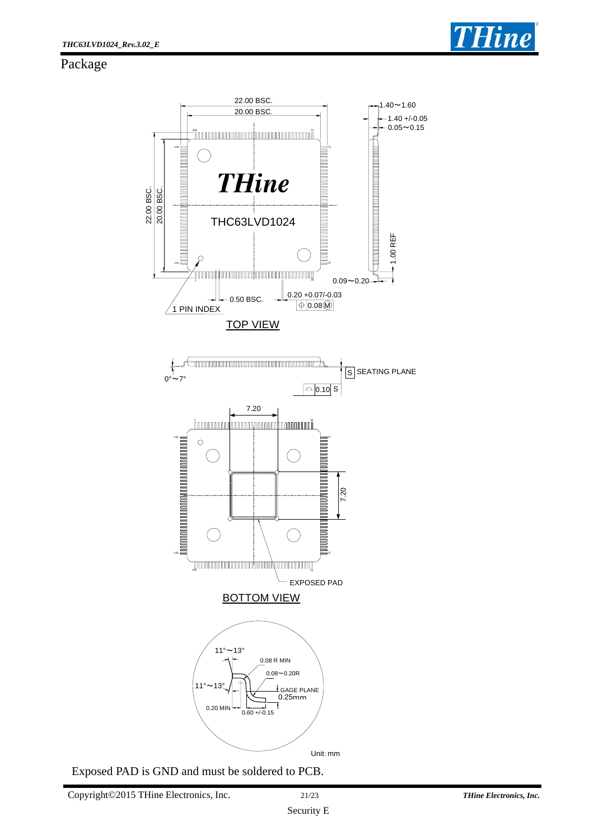

#### Package



Exposed PAD is GND and must be soldered to PCB.